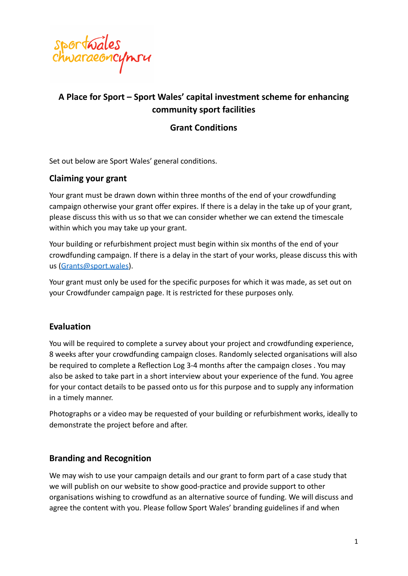

# **A Place for Sport – Sport Wales' capital investment scheme for enhancing community sport facilities**

## **Grant Conditions**

Set out below are Sport Wales' general conditions.

### **Claiming your grant**

Your grant must be drawn down within three months of the end of your crowdfunding campaign otherwise your grant offer expires. If there is a delay in the take up of your grant, please discuss this with us so that we can consider whether we can extend the timescale within which you may take up your grant.

Your building or refurbishment project must begin within six months of the end of your crowdfunding campaign. If there is a delay in the start of your works, please discuss this with us [\(Grants@sport.wales](mailto:Grants@sport.wales)).

Your grant must only be used for the specific purposes for which it was made, as set out on your Crowdfunder campaign page. It is restricted for these purposes only.

#### **Evaluation**

You will be required to complete a survey about your project and crowdfunding experience, 8 weeks after your crowdfunding campaign closes. Randomly selected organisations will also be required to complete a Reflection Log 3-4 months after the campaign closes . You may also be asked to take part in a short interview about your experience of the fund. You agree for your contact details to be passed onto us for this purpose and to supply any information in a timely manner.

Photographs or a video may be requested of your building or refurbishment works, ideally to demonstrate the project before and after.

#### **Branding and Recognition**

We may wish to use your campaign details and our grant to form part of a case study that we will publish on our website to show good-practice and provide support to other organisations wishing to crowdfund as an alternative source of funding. We will discuss and agree the content with you. Please follow Sport Wales' branding guidelines if and when